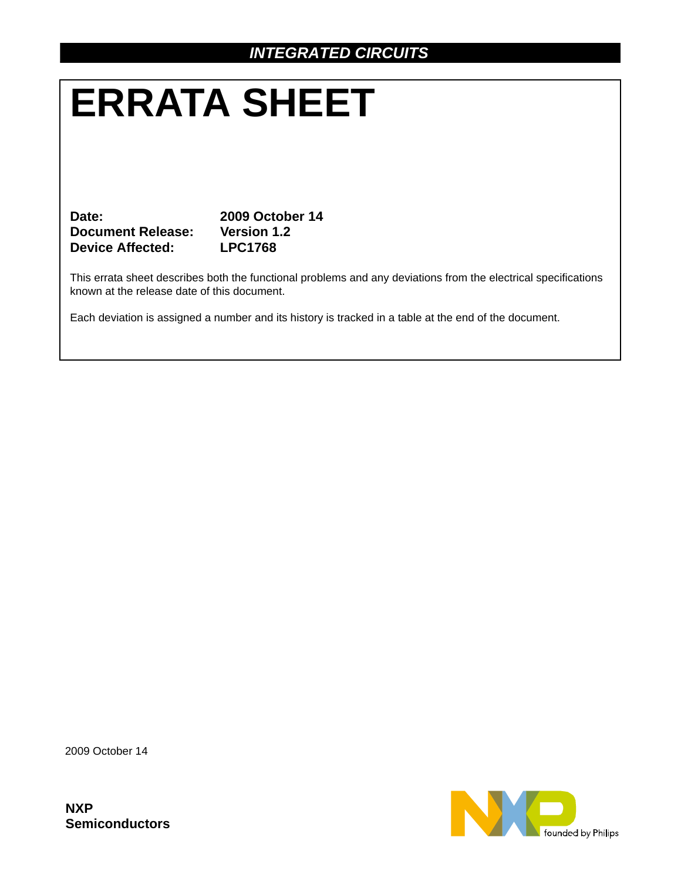# **ERRATA SHEET**

**Date: 2009 October 14 Document Release: Version 1.2 Device Affected: LPC1768**

This errata sheet describes both the functional problems and any deviations from the electrical specifications known at the release date of this document.

Each deviation is assigned a number and its history is tracked in a table at the end of the document.

2009 October 14

**NXP Semiconductors**

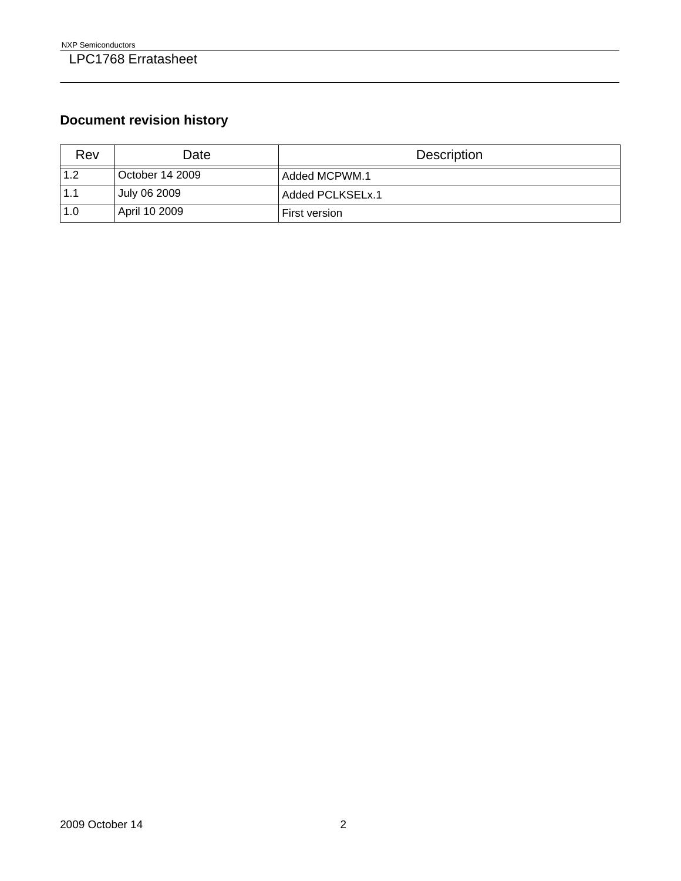## **Document revision history**

| Rev | Date            | <b>Description</b> |
|-----|-----------------|--------------------|
| 1.2 | October 14 2009 | Added MCPWM.1      |
| 1.1 | July 06 2009    | Added PCLKSELx.1   |
| 1.0 | April 10 2009   | First version      |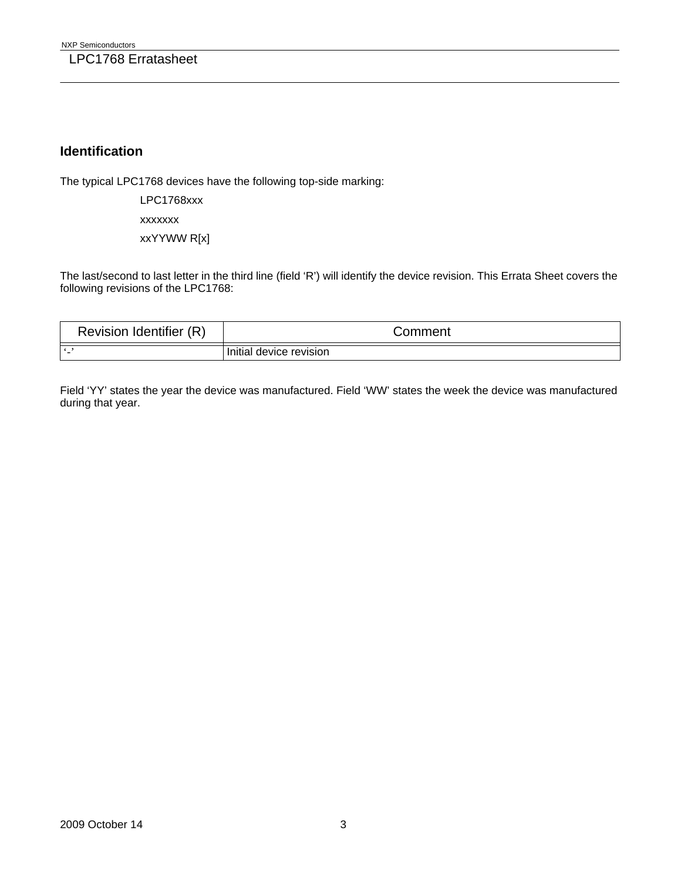#### **Identification**

The typical LPC1768 devices have the following top-side marking:

LPC1768xxx

xxxxxxx

xxYYWW R[x]

The last/second to last letter in the third line (field 'R') will identify the device revision. This Errata Sheet covers the following revisions of the LPC1768:

| Identifier<br>(R<br>Revision | .comment                   |
|------------------------------|----------------------------|
|                              | device revision<br>Initial |

Field 'YY' states the year the device was manufactured. Field 'WW' states the week the device was manufactured during that year.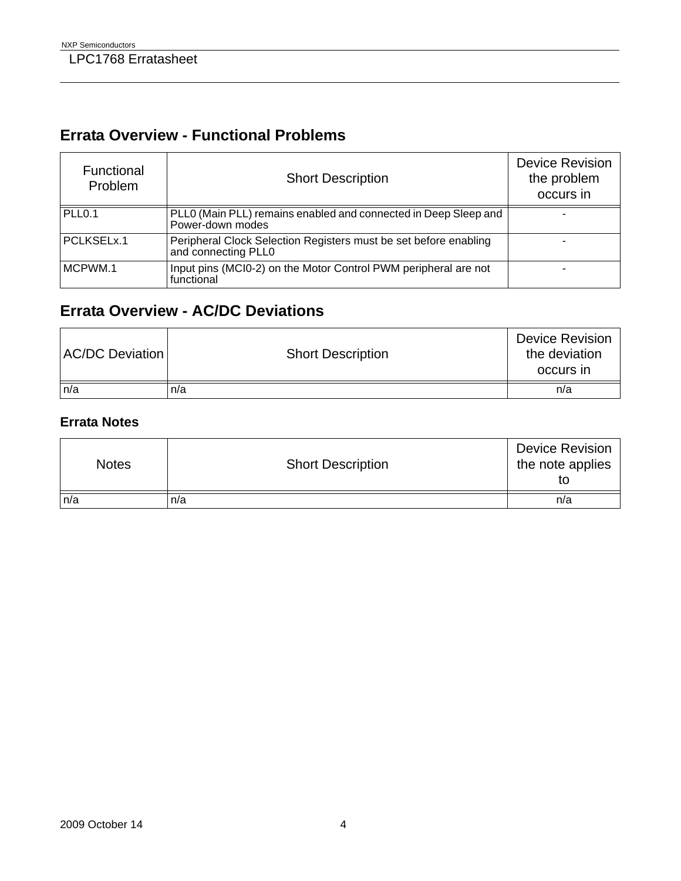# **Errata Overview - Functional Problems**

| Functional<br>Problem | <b>Short Description</b>                                                                | <b>Device Revision</b><br>the problem<br>occurs in |
|-----------------------|-----------------------------------------------------------------------------------------|----------------------------------------------------|
| PLL <sub>0.1</sub>    | PLL0 (Main PLL) remains enabled and connected in Deep Sleep and<br>Power-down modes     |                                                    |
| PCLKSELx.1            | Peripheral Clock Selection Registers must be set before enabling<br>and connecting PLL0 |                                                    |
| MCPWM.1               | Input pins (MCI0-2) on the Motor Control PWM peripheral are not<br>functional           |                                                    |

## **Errata Overview - AC/DC Deviations**

| <b>AC/DC Deviation</b> | <b>Short Description</b> | <b>Device Revision</b><br>the deviation<br>occurs in |
|------------------------|--------------------------|------------------------------------------------------|
| n/a                    | n/a                      | n/a                                                  |

#### **Errata Notes**

| <b>Notes</b> | <b>Short Description</b> | <b>Device Revision</b><br>the note applies |
|--------------|--------------------------|--------------------------------------------|
| n/a          | n/a                      | n/a                                        |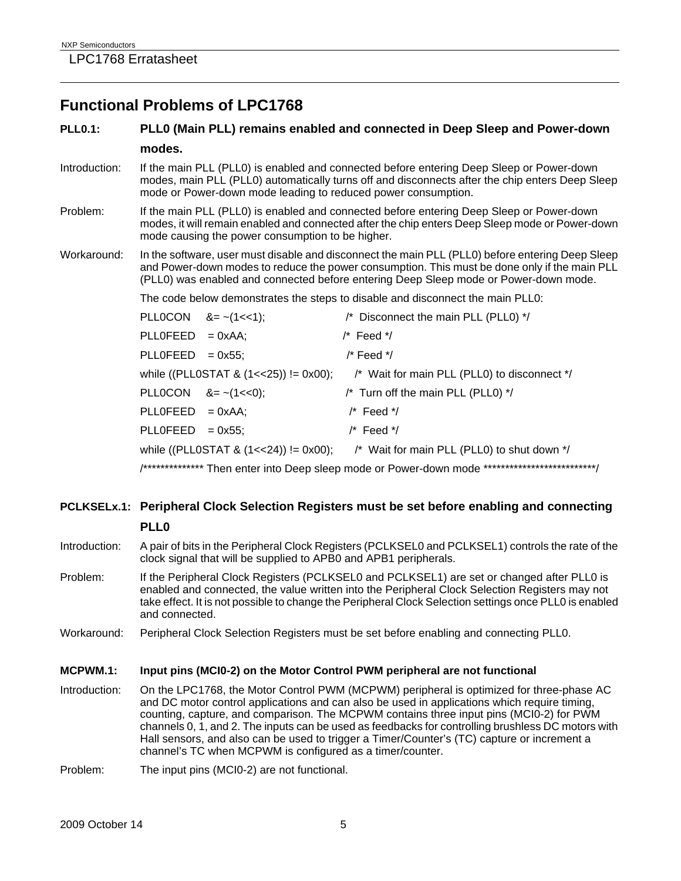### **Functional Problems of LPC1768**

#### **PLL0.1: PLL0 (Main PLL) remains enabled and connected in Deep Sleep and Power-down modes.**

- Introduction: If the main PLL (PLL0) is enabled and connected before entering Deep Sleep or Power-down modes, main PLL (PLL0) automatically turns off and disconnects after the chip enters Deep Sleep mode or Power-down mode leading to reduced power consumption.
- Problem: If the main PLL (PLL0) is enabled and connected before entering Deep Sleep or Power-down modes, it will remain enabled and connected after the chip enters Deep Sleep mode or Power-down mode causing the power consumption to be higher.
- Workaround: In the software, user must disable and disconnect the main PLL (PLL0) before entering Deep Sleep and Power-down modes to reduce the power consumption. This must be done only if the main PLL (PLL0) was enabled and connected before entering Deep Sleep mode or Power-down mode.

The code below demonstrates the steps to disable and disconnect the main PLL0:

|                    | PLLOCON $&=- (1 < 1);$  | /* Disconnect the main PLL (PLL0) */                                                             |
|--------------------|-------------------------|--------------------------------------------------------------------------------------------------|
| $PLLOFEED = 0xAA;$ |                         | $/*$ Feed $*$ /                                                                                  |
| $PLLOFEED = 0x55;$ |                         | /* Feed */                                                                                       |
|                    |                         | while ((PLL0STAT & $(1<<25)$ ) != 0x00); /* Wait for main PLL (PLL0) to disconnect */            |
|                    | PLLOCON $8 = -(1 < 0);$ | /* Turn off the main PLL (PLL0) */                                                               |
| $PLLOFEED = 0xAA;$ |                         | $/*$ Feed $*$ /                                                                                  |
| $PLLOFEED = 0x55;$ |                         | $/*$ Feed $*$ /                                                                                  |
|                    |                         | while ((PLLOSTAT & $(1 < 24)$ ) != 0x00); /* Wait for main PLL (PLLO) to shut down */            |
|                    |                         | /*************** Then enter into Deep sleep mode or Power-down mode **************************** |

#### **PCLKSELx.1: Peripheral Clock Selection Registers must be set before enabling and connecting PLL0**

- Introduction: A pair of bits in the Peripheral Clock Registers (PCLKSEL0 and PCLKSEL1) controls the rate of the clock signal that will be supplied to APB0 and APB1 peripherals.
- Problem: If the Peripheral Clock Registers (PCLKSEL0 and PCLKSEL1) are set or changed after PLL0 is enabled and connected, the value written into the Peripheral Clock Selection Registers may not take effect. It is not possible to change the Peripheral Clock Selection settings once PLL0 is enabled and connected.
- Workaround: Peripheral Clock Selection Registers must be set before enabling and connecting PLL0.

#### **MCPWM.1: Input pins (MCI0-2) on the Motor Control PWM peripheral are not functional**

- Introduction: On the LPC1768, the Motor Control PWM (MCPWM) peripheral is optimized for three-phase AC and DC motor control applications and can also be used in applications which require timing, counting, capture, and comparison. The MCPWM contains three input pins (MCI0-2) for PWM channels 0, 1, and 2. The inputs can be used as feedbacks for controlling brushless DC motors with Hall sensors, and also can be used to trigger a Timer/Counter's (TC) capture or increment a channel's TC when MCPWM is configured as a timer/counter.
- Problem: The input pins (MCI0-2) are not functional.